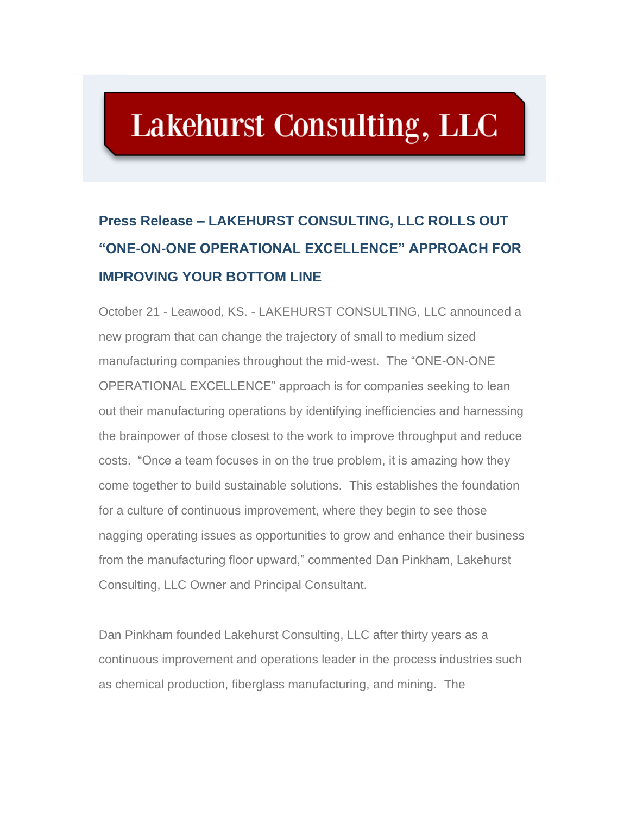## **Lakehurst Consulting, LLC**

## **Press Release – LAKEHURST CONSULTING, LLC ROLLS OUT "ONE-ON-ONE OPERATIONAL EXCELLENCE" APPROACH FOR IMPROVING YOUR BOTTOM LINE**

October 21 - Leawood, KS. - LAKEHURST CONSULTING, LLC announced a new program that can change the trajectory of small to medium sized manufacturing companies throughout the mid-west. The "ONE-ON-ONE OPERATIONAL EXCELLENCE" approach is for companies seeking to lean out their manufacturing operations by identifying inefficiencies and harnessing the brainpower of those closest to the work to improve throughput and reduce costs. "Once a team focuses in on the true problem, it is amazing how they come together to build sustainable solutions. This establishes the foundation for a culture of continuous improvement, where they begin to see those nagging operating issues as opportunities to grow and enhance their business from the manufacturing floor upward," commented Dan Pinkham, Lakehurst Consulting, LLC Owner and Principal Consultant.

Dan Pinkham founded Lakehurst Consulting, LLC after thirty years as a continuous improvement and operations leader in the process industries such as chemical production, fiberglass manufacturing, and mining. The